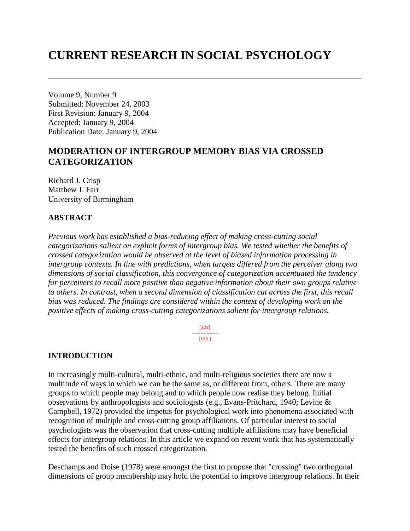# **CURRENT RESEARCH IN SOCIAL PSYCHOLOGY**

Volume 9, Number 9 Submitted: November 24, 2003 First Revision: January 9, 2004 Accepted: January 9, 2004 Publication Date: January 9, 2004

# **MODERATION OF INTERGROUP MEMORY BIAS VIA CROSSED CATEGORIZATION**

Richard J. Crisp Matthew J. Farr University of Birmingham

### **ABSTRACT**

*Previous work has established a bias-reducing effect of making cross-cutting social categorizations salient on explicit forms of intergroup bias. We tested whether the benefits of crossed categorization would be observed at the level of biased information processing in intergroup contexts. In line with predictions, when targets differed from the perceiver along two dimensions of social classification, this convergence of categorization accentuated the tendency for perceivers to recall more positive than negative information about their own groups relative to others. In contrast, when a second dimension of classification cut across the first, this recall bias was reduced. The findings are considered within the context of developing work on the positive effects of making cross-cutting categorizations salient for intergroup relations.*

> [124] --------------- [125 ]

### **INTRODUCTION**

In increasingly multi-cultural, multi-ethnic, and multi-religious societies there are now a multitude of ways in which we can be the same as, or different from, others. There are many groups to which people may belong and to which people now realise they belong. Initial observations by anthropologists and sociologists (e.g., Evans-Pritchard, 1940; Levine & Campbell, 1972) provided the impetus for psychological work into phenomena associated with recognition of multiple and cross-cutting group affiliations. Of particular interest to social psychologists was the observation that cross-cutting multiple affiliations may have beneficial effects for intergroup relations. In this article we expand on recent work that has systematically tested the benefits of such crossed categorization.

Deschamps and Doise (1978) were amongst the first to propose that "crossing" two orthogonal dimensions of group membership may hold the potential to improve intergroup relations. In their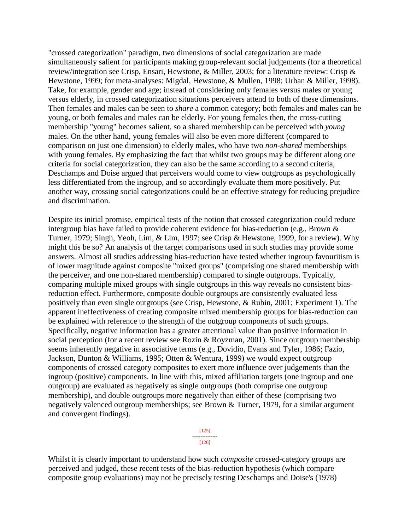"crossed categorization" paradigm, two dimensions of social categorization are made simultaneously salient for participants making group-relevant social judgements (for a theoretical review/integration see Crisp, Ensari, Hewstone, & Miller, 2003; for a literature review: Crisp & Hewstone, 1999; for meta-analyses: Migdal, Hewstone, & Mullen, 1998; Urban & Miller, 1998). Take, for example, gender and age; instead of considering only females versus males or young versus elderly, in crossed categorization situations perceivers attend to both of these dimensions. Then females and males can be seen to *share* a common category; both females and males can be young, or both females and males can be elderly. For young females then, the cross-cutting membership "young" becomes salient, so a shared membership can be perceived with *young* males. On the other hand, young females will also be even more different (compared to comparison on just one dimension) to elderly males, who have two *non-shared* memberships with young females. By emphasizing the fact that whilst two groups may be different along one criteria for social categorization, they can also be the same according to a second criteria, Deschamps and Doise argued that perceivers would come to view outgroups as psychologically less differentiated from the ingroup, and so accordingly evaluate them more positively. Put another way, crossing social categorizations could be an effective strategy for reducing prejudice and discrimination.

Despite its initial promise, empirical tests of the notion that crossed categorization could reduce intergroup bias have failed to provide coherent evidence for bias-reduction (e.g., Brown & Turner, 1979; Singh, Yeoh, Lim, & Lim, 1997; see Crisp & Hewstone, 1999, for a review). Why might this be so? An analysis of the target comparisons used in such studies may provide some answers. Almost all studies addressing bias-reduction have tested whether ingroup favouritism is of lower magnitude against composite "mixed groups" (comprising one shared membership with the perceiver, and one non-shared membership) compared to single outgroups. Typically, comparing multiple mixed groups with single outgroups in this way reveals no consistent biasreduction effect. Furthermore, composite double outgroups are consistently evaluated less positively than even single outgroups (see Crisp, Hewstone, & Rubin, 2001; Experiment 1). The apparent ineffectiveness of creating composite mixed membership groups for bias-reduction can be explained with reference to the strength of the outgroup components of such groups. Specifically, negative information has a greater attentional value than positive information in social perception (for a recent review see Rozin & Royzman, 2001). Since outgroup membership seems inherently negative in associative terms (e.g., Dovidio, Evans and Tyler, 1986; Fazio, Jackson, Dunton & Williams, 1995; Otten & Wentura, 1999) we would expect outgroup components of crossed category composites to exert more influence over judgements than the ingroup (positive) components. In line with this, mixed affiliation targets (one ingroup and one outgroup) are evaluated as negatively as single outgroups (both comprise one outgroup membership), and double outgroups more negatively than either of these (comprising two negatively valenced outgroup memberships; see Brown & Turner, 1979, for a similar argument and convergent findings).

> [125] --------------- [126]

Whilst it is clearly important to understand how such *composite* crossed-category groups are perceived and judged, these recent tests of the bias-reduction hypothesis (which compare composite group evaluations) may not be precisely testing Deschamps and Doise's (1978)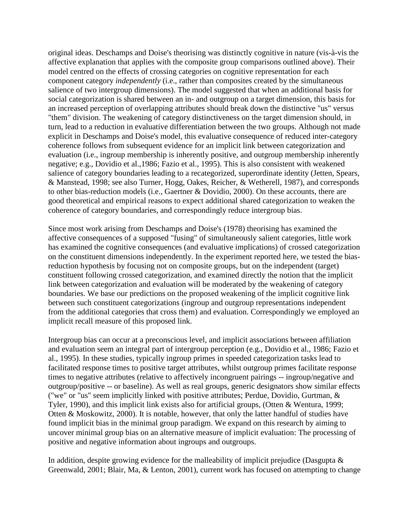original ideas. Deschamps and Doise's theorising was distinctly cognitive in nature (vis-à-vis the affective explanation that applies with the composite group comparisons outlined above). Their model centred on the effects of crossing categories on cognitive representation for each component category *independently* (i.e., rather than composites created by the simultaneous salience of two intergroup dimensions). The model suggested that when an additional basis for social categorization is shared between an in- and outgroup on a target dimension, this basis for an increased perception of overlapping attributes should break down the distinctive "us" versus "them" division. The weakening of category distinctiveness on the target dimension should, in turn, lead to a reduction in evaluative differentiation between the two groups. Although not made explicit in Deschamps and Doise's model, this evaluative consequence of reduced inter-category coherence follows from subsequent evidence for an implicit link between categorization and evaluation (i.e., ingroup membership is inherently positive, and outgroup membership inherently negative; e.g., Dovidio et al.,1986; Fazio et al., 1995). This is also consistent with weakened salience of category boundaries leading to a recategorized, superordinate identity (Jetten, Spears, & Manstead, 1998; see also Turner, Hogg, Oakes, Reicher, & Wetherell, 1987), and corresponds to other bias-reduction models (i.e., Gaertner & Dovidio, 2000). On these accounts, there are good theoretical and empirical reasons to expect additional shared categorization to weaken the coherence of category boundaries, and correspondingly reduce intergroup bias.

Since most work arising from Deschamps and Doise's (1978) theorising has examined the affective consequences of a supposed "fusing" of simultaneously salient categories, little work has examined the cognitive consequences (and evaluative implications) of crossed categorization on the constituent dimensions independently. In the experiment reported here, we tested the biasreduction hypothesis by focusing not on composite groups, but on the independent (target) constituent following crossed categorization, and examined directly the notion that the implicit link between categorization and evaluation will be moderated by the weakening of category boundaries. We base our predictions on the proposed weakening of the implicit cognitive link between such constituent categorizations (ingroup and outgroup representations independent from the additional categories that cross them) and evaluation. Correspondingly we employed an implicit recall measure of this proposed link.

Intergroup bias can occur at a preconscious level, and implicit associations between affiliation and evaluation seem an integral part of intergroup perception (e.g., Dovidio et al., 1986; Fazio et al., 1995). In these studies, typically ingroup primes in speeded categorization tasks lead to facilitated response times to positive target attributes, whilst outgroup primes facilitate response times to negative attributes (relative to affectively incongruent pairings -- ingroup/negative and outgroup/positive -- or baseline). As well as real groups, generic designators show similar effects ("we" or "us" seem implicitly linked with positive attributes; Perdue, Dovidio, Gurtman, & Tyler, 1990), and this implicit link exists also for artificial groups, (Otten & Wentura, 1999; Otten & Moskowitz, 2000). It is notable, however, that only the latter handful of studies have found implicit bias in the minimal group paradigm. We expand on this research by aiming to uncover minimal group bias on an alternative measure of implicit evaluation: The processing of positive and negative information about ingroups and outgroups.

In addition, despite growing evidence for the malleability of implicit prejudice (Dasgupta  $\&$ Greenwald, 2001; Blair, Ma, & Lenton, 2001), current work has focused on attempting to change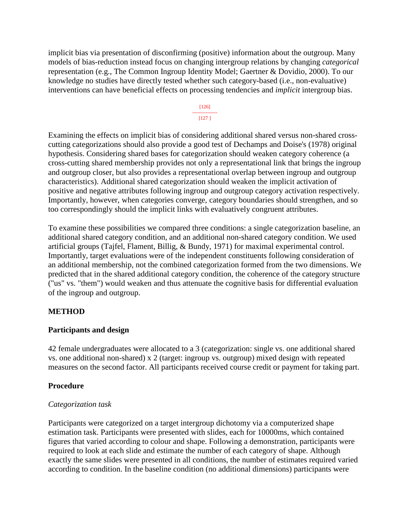implicit bias via presentation of disconfirming (positive) information about the outgroup. Many models of bias-reduction instead focus on changing intergroup relations by changing *categorical*  representation (e.g., The Common Ingroup Identity Model; Gaertner & Dovidio, 2000). To our knowledge no studies have directly tested whether such category-based (i.e., non-evaluative) interventions can have beneficial effects on processing tendencies and *implicit* intergroup bias.

#### [126] --------------- [127 ]

Examining the effects on implicit bias of considering additional shared versus non-shared crosscutting categorizations should also provide a good test of Dechamps and Doise's (1978) original hypothesis. Considering shared bases for categorization should weaken category coherence (a cross-cutting shared membership provides not only a representational link that brings the ingroup and outgroup closer, but also provides a representational overlap between ingroup and outgroup characteristics). Additional shared categorization should weaken the implicit activation of positive and negative attributes following ingroup and outgroup category activation respectively. Importantly, however, when categories converge, category boundaries should strengthen, and so too correspondingly should the implicit links with evaluatively congruent attributes.

To examine these possibilities we compared three conditions: a single categorization baseline, an additional shared category condition, and an additional non-shared category condition. We used artificial groups (Tajfel, Flament, Billig, & Bundy, 1971) for maximal experimental control. Importantly, target evaluations were of the independent constituents following consideration of an additional membership, not the combined categorization formed from the two dimensions. We predicted that in the shared additional category condition, the coherence of the category structure ("us" vs. "them") would weaken and thus attenuate the cognitive basis for differential evaluation of the ingroup and outgroup.

### **METHOD**

### **Participants and design**

42 female undergraduates were allocated to a 3 (categorization: single vs. one additional shared vs. one additional non-shared) x 2 (target: ingroup vs. outgroup) mixed design with repeated measures on the second factor. All participants received course credit or payment for taking part.

### **Procedure**

### *Categorization task*

Participants were categorized on a target intergroup dichotomy via a computerized shape estimation task. Participants were presented with slides, each for 10000ms, which contained figures that varied according to colour and shape. Following a demonstration, participants were required to look at each slide and estimate the number of each category of shape. Although exactly the same slides were presented in all conditions, the number of estimates required varied according to condition. In the baseline condition (no additional dimensions) participants were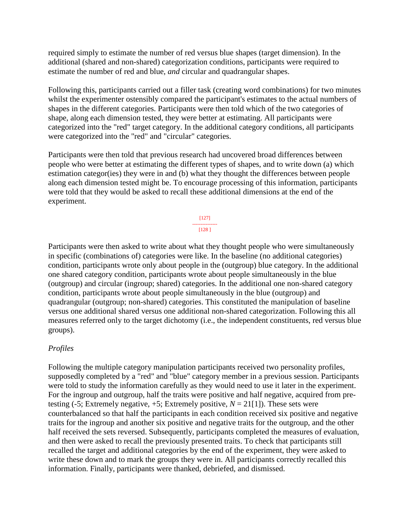required simply to estimate the number of red versus blue shapes (target dimension). In the additional (shared and non-shared) categorization conditions, participants were required to estimate the number of red and blue, *and* circular and quadrangular shapes.

Following this, participants carried out a filler task (creating word combinations) for two minutes whilst the experimenter ostensibly compared the participant's estimates to the actual numbers of shapes in the different categories. Participants were then told which of the two categories of shape, along each dimension tested, they were better at estimating. All participants were categorized into the "red" target category. In the additional category conditions, all participants were categorized into the "red" and "circular" categories.

Participants were then told that previous research had uncovered broad differences between people who were better at estimating the different types of shapes, and to write down (a) which estimation categor(ies) they were in and (b) what they thought the differences between people along each dimension tested might be. To encourage processing of this information, participants were told that they would be asked to recall these additional dimensions at the end of the experiment.

> [127] --------------- [128 ]

Participants were then asked to write about what they thought people who were simultaneously in specific (combinations of) categories were like. In the baseline (no additional categories) condition, participants wrote only about people in the (outgroup) blue category. In the additional one shared category condition, participants wrote about people simultaneously in the blue (outgroup) and circular (ingroup; shared) categories. In the additional one non-shared category condition, participants wrote about people simultaneously in the blue (outgroup) and quadrangular (outgroup; non-shared) categories. This constituted the manipulation of baseline versus one additional shared versus one additional non-shared categorization. Following this all measures referred only to the target dichotomy (i.e., the independent constituents, red versus blue groups).

### *Profiles*

Following the multiple category manipulation participants received two personality profiles, supposedly completed by a "red" and "blue" category member in a previous session. Participants were told to study the information carefully as they would need to use it later in the experiment. For the ingroup and outgroup, half the traits were positive and half negative, acquired from pretesting (-5; Extremely negative,  $+5$ ; Extremely positive,  $N = 21[1]$ ). These sets were counterbalanced so that half the participants in each condition received six positive and negative traits for the ingroup and another six positive and negative traits for the outgroup, and the other half received the sets reversed. Subsequently, participants completed the measures of evaluation, and then were asked to recall the previously presented traits. To check that participants still recalled the target and additional categories by the end of the experiment, they were asked to write these down and to mark the groups they were in. All participants correctly recalled this information. Finally, participants were thanked, debriefed, and dismissed.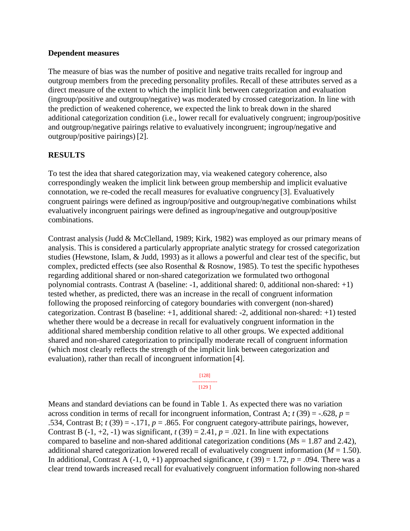### **Dependent measures**

The measure of bias was the number of positive and negative traits recalled for ingroup and outgroup members from the preceding personality profiles. Recall of these attributes served as a direct measure of the extent to which the implicit link between categorization and evaluation (ingroup/positive and outgroup/negative) was moderated by crossed categorization. In line with the prediction of weakened coherence, we expected the link to break down in the shared additional categorization condition (i.e., lower recall for evaluatively congruent; ingroup/positive and outgroup/negative pairings relative to evaluatively incongruent; ingroup/negative and outgroup/positive pairings) [2].

### **RESULTS**

To test the idea that shared categorization may, via weakened category coherence, also correspondingly weaken the implicit link between group membership and implicit evaluative connotation, we re-coded the recall measures for evaluative congruency [3]. Evaluatively congruent pairings were defined as ingroup/positive and outgroup/negative combinations whilst evaluatively incongruent pairings were defined as ingroup/negative and outgroup/positive combinations.

Contrast analysis (Judd & McClelland, 1989; Kirk, 1982) was employed as our primary means of analysis. This is considered a particularly appropriate analytic strategy for crossed categorization studies (Hewstone, Islam, & Judd, 1993) as it allows a powerful and clear test of the specific, but complex, predicted effects (see also Rosenthal & Rosnow, 1985). To test the specific hypotheses regarding additional shared or non-shared categorization we formulated two orthogonal polynomial contrasts. Contrast A (baseline: -1, additional shared: 0, additional non-shared: +1) tested whether, as predicted, there was an increase in the recall of congruent information following the proposed reinforcing of category boundaries with convergent (non-shared) categorization. Contrast B (baseline: +1, additional shared: -2, additional non-shared: +1) tested whether there would be a decrease in recall for evaluatively congruent information in the additional shared membership condition relative to all other groups. We expected additional shared and non-shared categorization to principally moderate recall of congruent information (which most clearly reflects the strength of the implicit link between categorization and evaluation), rather than recall of incongruent information [4].

#### [128] --------------- [129 ]

Means and standard deviations can be found in Table 1. As expected there was no variation across condition in terms of recall for incongruent information, Contrast A;  $t(39) = -.628$ ,  $p =$ .534, Contrast B;  $t(39) = -171$ ,  $p = 0.865$ . For congruent category-attribute pairings, however, Contrast B  $(-1, +2, -1)$  was significant,  $t(39) = 2.41$ ,  $p = .021$ . In line with expectations compared to baseline and non-shared additional categorization conditions (*M*s = 1.87 and 2.42), additional shared categorization lowered recall of evaluatively congruent information  $(M = 1.50)$ . In additional, Contrast A  $(-1, 0, +1)$  approached significance,  $t(39) = 1.72$ ,  $p = .094$ . There was a clear trend towards increased recall for evaluatively congruent information following non-shared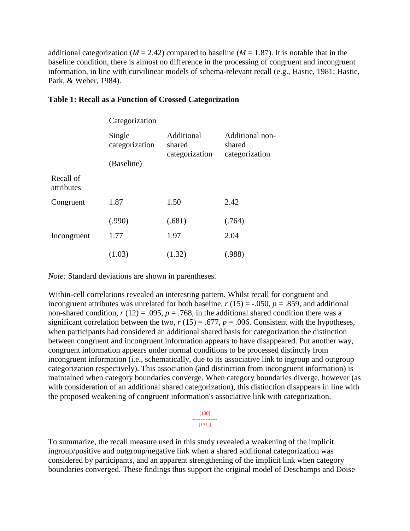additional categorization ( $M = 2.42$ ) compared to baseline ( $M = 1.87$ ). It is notable that in the baseline condition, there is almost no difference in the processing of congruent and incongruent information, in line with curvilinear models of schema-relevant recall (e.g., Hastie, 1981; Hastie, Park, & Weber, 1984).

|                         | Categorization           |                                        |                                             |
|-------------------------|--------------------------|----------------------------------------|---------------------------------------------|
|                         | Single<br>categorization | Additional<br>shared<br>categorization | Additional non-<br>shared<br>categorization |
|                         | (Baseline)               |                                        |                                             |
| Recall of<br>attributes |                          |                                        |                                             |
| Congruent               | 1.87                     | 1.50                                   | 2.42                                        |
|                         | (.990)                   | (.681)                                 | (.764)                                      |
| Incongruent             | 1.77                     | 1.97                                   | 2.04                                        |
|                         | (1.03)                   | (1.32)                                 | (.988)                                      |

### **Table 1: Recall as a Function of Crossed Categorization**

*Note:* Standard deviations are shown in parentheses.

Within-cell correlations revealed an interesting pattern. Whilst recall for congruent and incongruent attributes was unrelated for both baseline,  $r(15) = -.050$ ,  $p = .859$ , and additional non-shared condition,  $r(12) = .095$ ,  $p = .768$ , in the additional shared condition there was a significant correlation between the two,  $r(15) = .677$ ,  $p = .006$ . Consistent with the hypotheses, when participants had considered an additional shared basis for categorization the distinction between congruent and incongruent information appears to have disappeared. Put another way, congruent information appears under normal conditions to be processed distinctly from incongruent information (i.e., schematically, due to its associative link to ingroup and outgroup categorization respectively). This association (and distinction from incongruent information) is maintained when category boundaries converge. When category boundaries diverge, however (as with consideration of an additional shared categorization), this distinction disappears in line with the proposed weakening of congruent information's associative link with categorization.

> [130] --------------- [131 ]

To summarize, the recall measure used in this study revealed a weakening of the implicit ingroup/positive and outgroup/negative link when a shared additional categorization was considered by participants, and an apparent strengthening of the implicit link when category boundaries converged. These findings thus support the original model of Deschamps and Doise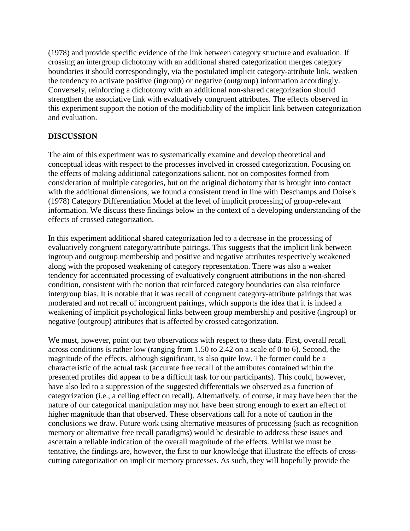(1978) and provide specific evidence of the link between category structure and evaluation. If crossing an intergroup dichotomy with an additional shared categorization merges category boundaries it should correspondingly, via the postulated implicit category-attribute link, weaken the tendency to activate positive (ingroup) or negative (outgroup) information accordingly. Conversely, reinforcing a dichotomy with an additional non-shared categorization should strengthen the associative link with evaluatively congruent attributes. The effects observed in this experiment support the notion of the modifiability of the implicit link between categorization and evaluation.

## **DISCUSSION**

The aim of this experiment was to systematically examine and develop theoretical and conceptual ideas with respect to the processes involved in crossed categorization. Focusing on the effects of making additional categorizations salient, not on composites formed from consideration of multiple categories, but on the original dichotomy that is brought into contact with the additional dimensions, we found a consistent trend in line with Deschamps and Doise's (1978) Category Differentiation Model at the level of implicit processing of group-relevant information. We discuss these findings below in the context of a developing understanding of the effects of crossed categorization.

In this experiment additional shared categorization led to a decrease in the processing of evaluatively congruent category/attribute pairings. This suggests that the implicit link between ingroup and outgroup membership and positive and negative attributes respectively weakened along with the proposed weakening of category representation. There was also a weaker tendency for accentuated processing of evaluatively congruent attributions in the non-shared condition, consistent with the notion that reinforced category boundaries can also reinforce intergroup bias. It is notable that it was recall of congruent category-attribute pairings that was moderated and not recall of incongruent pairings, which supports the idea that it is indeed a weakening of implicit psychological links between group membership and positive (ingroup) or negative (outgroup) attributes that is affected by crossed categorization.

We must, however, point out two observations with respect to these data. First, overall recall across conditions is rather low (ranging from 1.50 to 2.42 on a scale of 0 to 6). Second, the magnitude of the effects, although significant, is also quite low. The former could be a characteristic of the actual task (accurate free recall of the attributes contained within the presented profiles did appear to be a difficult task for our participants). This could, however, have also led to a suppression of the suggested differentials we observed as a function of categorization (i.e., a ceiling effect on recall). Alternatively, of course, it may have been that the nature of our categorical manipulation may not have been strong enough to exert an effect of higher magnitude than that observed. These observations call for a note of caution in the conclusions we draw. Future work using alternative measures of processing (such as recognition memory or alternative free recall paradigms) would be desirable to address these issues and ascertain a reliable indication of the overall magnitude of the effects. Whilst we must be tentative, the findings are, however, the first to our knowledge that illustrate the effects of crosscutting categorization on implicit memory processes. As such, they will hopefully provide the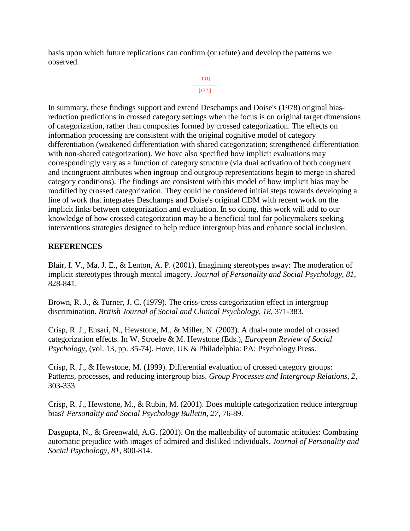basis upon which future replications can confirm (or refute) and develop the patterns we observed.

```
[131]
---------------
  [132 ]
```
In summary, these findings support and extend Deschamps and Doise's (1978) original biasreduction predictions in crossed category settings when the focus is on original target dimensions of categorization, rather than composites formed by crossed categorization. The effects on information processing are consistent with the original cognitive model of category differentiation (weakened differentiation with shared categorization; strengthened differentiation with non-shared categorization). We have also specified how implicit evaluations may correspondingly vary as a function of category structure (via dual activation of both congruent and incongruent attributes when ingroup and outgroup representations begin to merge in shared category conditions). The findings are consistent with this model of how implicit bias may be modified by crossed categorization. They could be considered initial steps towards developing a line of work that integrates Deschamps and Doise's original CDM with recent work on the implicit links between categorization and evaluation. In so doing, this work will add to our knowledge of how crossed categorization may be a beneficial tool for policymakers seeking interventions strategies designed to help reduce intergroup bias and enhance social inclusion.

### **REFERENCES**

Blair, I. V., Ma, J. E., & Lenton, A. P. (2001). Imagining stereotypes away: The moderation of implicit stereotypes through mental imagery. *Journal of Personality and Social Psychology, 81,* 828-841.

Brown, R. J., & Turner, J. C. (1979). The criss-cross categorization effect in intergroup discrimination. *British Journal of Social and Clinical Psychology, 18,* 371-383.

Crisp, R. J., Ensari, N., Hewstone, M., & Miller, N. (2003). A dual-route model of crossed categorization effects. In W. Stroebe & M. Hewstone (Eds.), *European Review of Social Psychology*, (vol. 13, pp. 35-74). Hove, UK & Philadelphia: PA: Psychology Press.

Crisp, R. J., & Hewstone, M. (1999). Differential evaluation of crossed category groups: Patterns, processes, and reducing intergroup bias. *Group Processes and Intergroup Relations, 2,* 303-333.

Crisp, R. J., Hewstone, M., & Rubin, M. (2001). Does multiple categorization reduce intergroup bias? *Personality and Social Psychology Bulletin, 27,* 76-89.

Dasgupta, N., & Greenwald, A.G. (2001). On the malleability of automatic attitudes: Combating automatic prejudice with images of admired and disliked individuals. *Journal of Personality and Social Psychology, 81,* 800-814.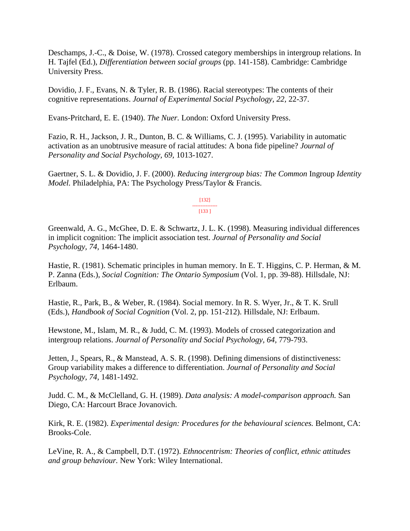Deschamps, J.-C., & Doise, W. (1978). Crossed category memberships in intergroup relations. In H. Tajfel (Ed.), *Differentiation between social groups* (pp. 141-158). Cambridge: Cambridge University Press.

Dovidio, J. F., Evans, N. & Tyler, R. B. (1986). Racial stereotypes: The contents of their cognitive representations. *Journal of Experimental Social Psychology, 22,* 22-37.

Evans-Pritchard, E. E. (1940). *The Nuer.* London: Oxford University Press.

Fazio, R. H., Jackson, J. R., Dunton, B. C. & Williams, C. J. (1995). Variability in automatic activation as an unobtrusive measure of racial attitudes: A bona fide pipeline? *Journal of Personality and Social Psychology, 69,* 1013-1027.

Gaertner, S. L. & Dovidio, J. F. (2000). *Reducing intergroup bias: The Common* Ingroup *Identity Model.* Philadelphia, PA: The Psychology Press/Taylor & Francis.

> [132] --------------- [133 ]

Greenwald, A. G., McGhee, D. E. & Schwartz, J. L. K. (1998). Measuring individual differences in implicit cognition: The implicit association test. *Journal of Personality and Social Psychology, 74,* 1464-1480.

Hastie, R. (1981). Schematic principles in human memory. In E. T. Higgins, C. P. Herman, & M. P. Zanna (Eds.), *Social Cognition: The Ontario Symposium* (Vol. 1, pp. 39-88). Hillsdale, NJ: Erlbaum.

Hastie, R., Park, B., & Weber, R. (1984). Social memory. In R. S. Wyer, Jr., & T. K. Srull (Eds.), *Handbook of Social Cognition* (Vol. 2, pp. 151-212). Hillsdale, NJ: Erlbaum.

Hewstone, M., Islam, M. R., & Judd, C. M. (1993). Models of crossed categorization and intergroup relations. *Journal of Personality and Social Psychology, 64,* 779-793.

Jetten, J., Spears, R., & Manstead, A. S. R. (1998). Defining dimensions of distinctiveness: Group variability makes a difference to differentiation. *Journal of Personality and Social Psychology, 74,* 1481-1492.

Judd. C. M., & McClelland, G. H. (1989). *Data analysis: A model-comparison approach.* San Diego, CA: Harcourt Brace Jovanovich.

Kirk, R. E. (1982). *Experimental design: Procedures for the behavioural sciences.* Belmont, CA: Brooks-Cole.

LeVine, R. A., & Campbell, D.T. (1972). *Ethnocentrism: Theories of conflict, ethnic attitudes and group behaviour.* New York: Wiley International.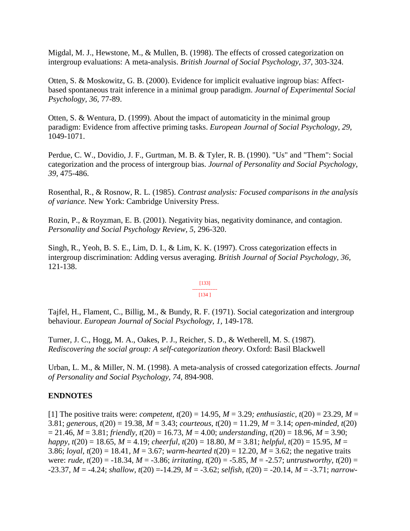Migdal, M. J., Hewstone, M., & Mullen, B. (1998). The effects of crossed categorization on intergroup evaluations: A meta-analysis. *British Journal of Social Psychology, 37,* 303-324.

Otten, S. & Moskowitz, G. B. (2000). Evidence for implicit evaluative ingroup bias: Affectbased spontaneous trait inference in a minimal group paradigm. *Journal of Experimental Social Psychology, 36,* 77-89.

Otten, S. & Wentura, D. (1999). About the impact of automaticity in the minimal group paradigm: Evidence from affective priming tasks. *European Journal of Social Psychology, 29,* 1049-1071.

Perdue, C. W., Dovidio, J. F., Gurtman, M. B. & Tyler, R. B. (1990). "Us" and "Them": Social categorization and the process of intergroup bias. *Journal of Personality and Social Psychology, 39,* 475-486.

Rosenthal, R., & Rosnow, R. L. (1985). *Contrast analysis: Focused comparisons in the analysis of variance.* New York: Cambridge University Press.

Rozin, P., & Royzman, E. B. (2001). Negativity bias, negativity dominance, and contagion. *Personality and Social Psychology Review, 5,* 296-320.

Singh, R., Yeoh, B. S. E., Lim, D. I., & Lim, K. K. (1997). Cross categorization effects in intergroup discrimination: Adding versus averaging. *British Journal of Social Psychology, 36,* 121-138.

#### [133] --------------- [134 ]

Tajfel, H., Flament, C., Billig, M., & Bundy, R. F. (1971). Social categorization and intergroup behaviour. *European Journal of Social Psychology, 1,* 149-178.

Turner, J. C., Hogg, M. A., Oakes, P. J., Reicher, S. D., & Wetherell, M. S. (1987). *Rediscovering the social group: A self-categorization theory*. Oxford: Basil Blackwell

Urban, L. M., & Miller, N. M. (1998). A meta-analysis of crossed categorization effects. *Journal of Personality and Social Psychology, 74,* 894-908.

### **ENDNOTES**

[1] The positive traits were: *competent, t*(20) = 14.95, *M* = 3.29*; enthusiastic, t*(20) = 23.29, *M* = 3.81; *generous, t*(20) = 19.38, *M* = 3.43; *courteous, t*(20) = 11.29, *M* = 3.14; *open-minded, t*(20) = 21.46, *M* = 3.81; *friendly, t*(20) = 16.73, *M* = 4.00; *understanding, t*(20) = 18.96, *M* = 3.90; *happy, t*(20) = 18.65, *M* = 4.19; *cheerful, t*(20) = 18.80, *M* = 3.81; *helpful, t*(20) = 15.95, *M* = 3.86; *loyal, t*(20) = 18.41, *M* = 3.67; *warm-hearted t*(20) = 12.20, *M* = 3.62; the negative traits were: *rude, t*(20) = -18.34, *M* = -3.86; *irritating, t*(20) = -5.85, *M* = -2.57; *untrustworthy, t*(20) = -23.37, *M* = -4.24; *shallow, t*(20) =-14.29, *M* = -3.62; *selfish, t*(20) = -20.14, *M* = -3.71; *narrow-*